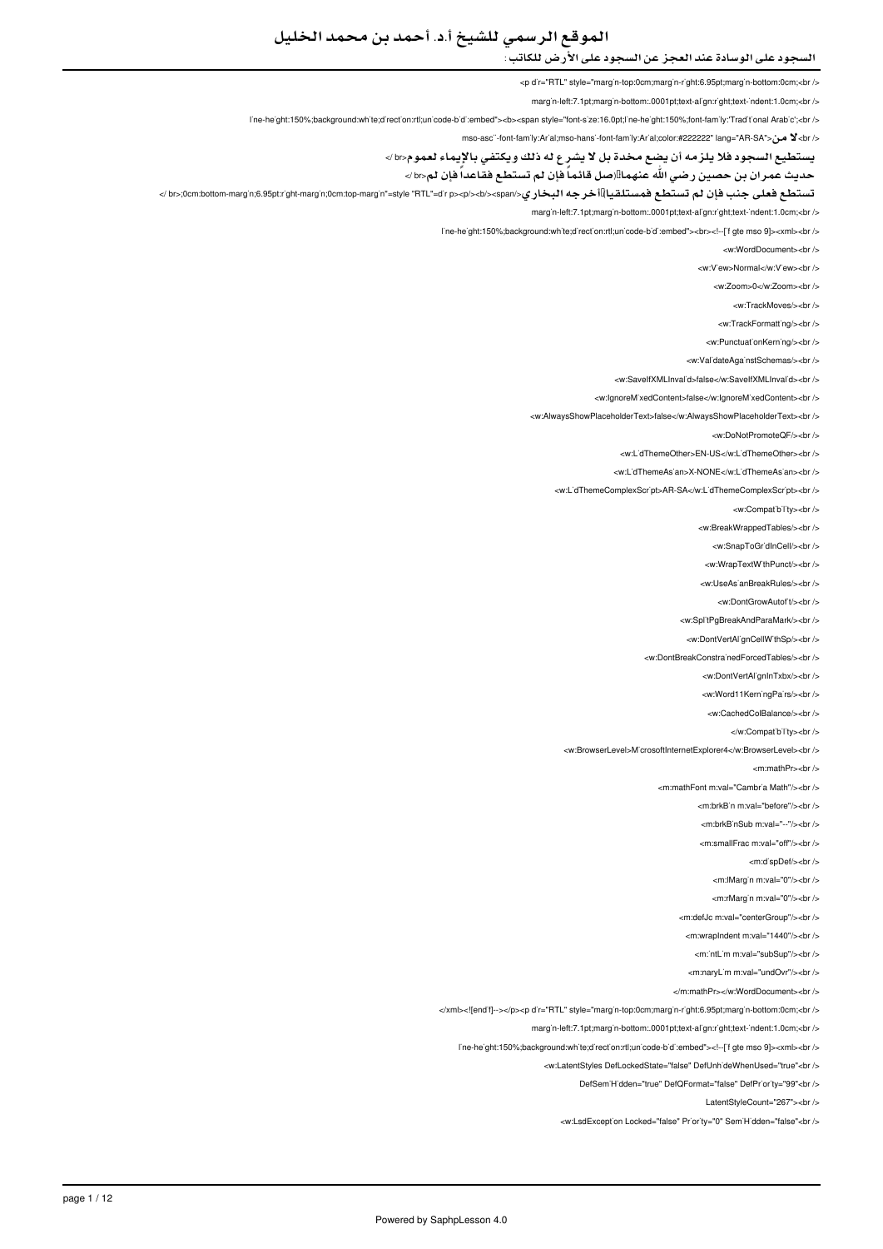# الموقع الرسمي للشيخ أ.د. أحمد بن محمد الخليل

## السجود على الوسادة عند العجز عن السجود على الأرض للكاتب :

<p d'r="RTL" style="marg'n-top:0cm;marg'n-r'ght:6.95pt;marg'n-bottom:0cm;<br/>kn />

marg'n-left:7.1pt;marg'n-bottom:.0001pt;text-al'gn:r'ght;text-'ndent:1.0cm;<br/>kor/>

I'ne-he'ght:150%;background:wh'te;d'rect'on:rtl;un'code-b'd':embed"><b><span style="font-s'ze:16.0pt;l'ne-he'ght:150%;font-fam'ly:'Trad't'onal Arab'c';<br/><br/> $\sim$ 

</ br>لا من< "sac"-font-family:Arial;mso-hansi-font-family:Arial;color:#222222" lang="AR-SA"> كا من</ret

يستطيع السجود فلا يلزمه أن يضع مخدة بل لا يشرع له ذلك ويكتفي بالإيماء لعموم<br /<

حديث عمران بن حصين رضي الله عنهما!!(صل قائماً فإن لم تستطع فقاعداً فإن لم<br>

تست**طع فعلى جنب فإن لم تستطع فمستلقيا)!أخرجه البخاري</br>:0cm:bottom-marg'n;6.95pt:r'ght-margin;0cm:top-margin"=style "RTL"=d'r p><p/><b/><br>** 

marg'n-left:7.1pt;marg'n-bottom:.0001pt;text-al'gn:r'ght;text-'ndent:1.0cm;<br/>-br

line-height:150%;background;white:direction;rtl:unicode-bidi:embed"><br>><!--[if gte mso 9]><xml><br/>chr

<w:WordDocument><br />

<w:V'ew>Normal</w:V'ew><br/></

<w:Zoom>0</w:Zoom><br/></w

<w:TrackMoves/><br/><br/>

<w:TrackFormatting/> <br />

<w:PunctuationKerning/><br/>

<w:ValidateAgainstSchemas/><br/></br/>

<w:SaveIfXMLInval<sup>'</sup>d>false</w:SaveIfXMLInval<sup>'</sup>d><br />

<w:lgnoreMixedContent>false</w:lgnoreMixedContent><br/></

<w:AlwaysShowPlaceholderText>false</w:AlwaysShowPlaceholderText><br />

<w:DoNotPromoteQF/><br/><br/>

<w:L'dThemeOther>EN-US</w:L'dThemeOther><br />

<w:LidThemeAsian>X-NONE</w:LidThemeAsian><br/></w

<w:L'dThemeComplexScr'pt>AR-SA</w:L'dThemeComplexScr'pt><br />

<w:Compatibility><br/><br/>

<w:BreakWrappedTables/><br/><br/>

<w:SnapToGr'dInCell/><br />

<w:WrapTextW'thPunct/><br/>>hr</br>

<w:UseAs'anBreakRules/><br/>

<w:DontGrowAutofit/s<hr /s

<w:SplitPgBreakAndParaMark/><br />

<w:DontVertAl'gnCellW'thSp/><br/></br

<w:DontBreakConstrainedForcedTables/><br />

<w:DontVertAlignInTxbx/><br/>

<w Word11KerningPairs/s<br/>>hr</a>

<w:CachedColBalance/><br/><br/>

</w:Compatibility><br/><br/>

<w:BrowserLevel>MicrosoftInternetExplorer4</w:BrowserLevel><br />

 $\sim$  m·mathPr $\sim$ hr $\sim$ 

<m:mathFont m:val="Cambr'a Math"/><br />

<m:hrkBin.m:val="before"/s<hr

-<br>- m:brkB`nSub m:val="--"/><br>

<m:smallFrac.m:val="off"/><hr

<m:dispDef/><br/>>>/>

<m:lMargin m:val="0"/><br/><br/>

<m:rMargin m:val="0"/><br/>>br />

<m:defJc m:val="centerGroup"/><br />

<m:wrapIndent m:val="1440"/><br/>>br

<m:'ntL'm m:val="subSup"/><br/>>br

 $\epsilon$ m:naryLim m:yal-"undOvr"/ $\epsilon$ hr / $\epsilon$ 

</m:mathPr></w:WordDocument><br/></w

</xml><![end'f]--></p><p d'r="RTL" style="marg'n-top:0cm;marg'n-r'ght:6.95pt;marg'n-bottom:0cm;<br/>cbr />

margin-left:7.1pt;margin-bottom:.0001pt;text-align:right;text-indent:1.0cm;<br/>br

line-height:150%;background:white;direction:rtl;unicode-bidi:embed"><!--['figte mso 9]><xml><br/>cbr

<w:LatentStyles DefLockedState="false" DefUnhideWhenUsed="true"<br />

ElefSem'Hidden="true" DefQFormat="false" DefPriority="99"<br/>chemi-

LatentStyleCount="267"><br />

<w:LsdException Locked="false" Priority="0" SemiHidden="false"<br/>>ht/>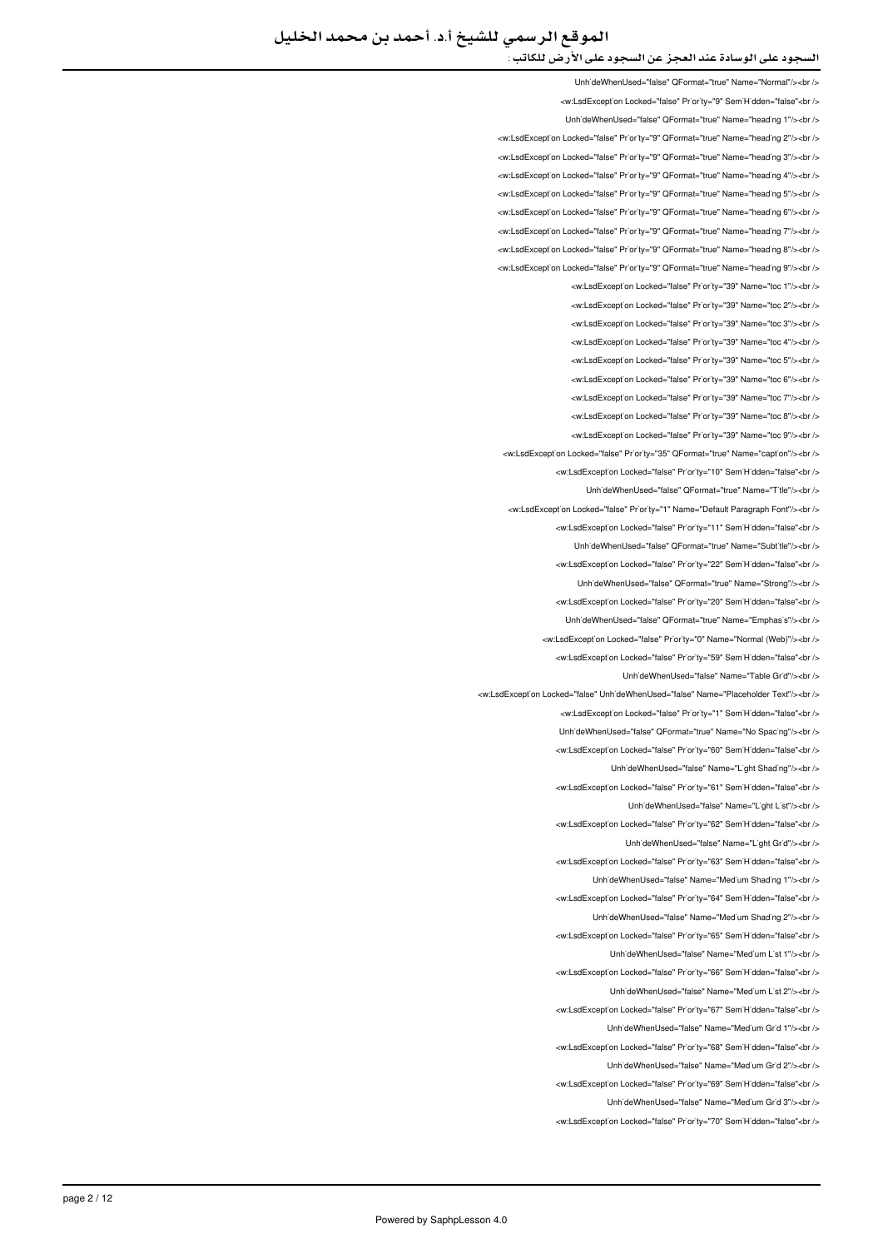UnhideWhenUsed="false" OFormat="true" Name="Normal"/><hr /> <w:LsdException Locked="false" Priority="9" SemiHidden="false"<br/>check UnhideWhenUsed="false" QFormat="true" Name="heading 1"/><br /> <w:LsdExcept'on Locked="false" Pr'or'ty="9" QFormat="true" Name="head'ng 2"/><br /> <w:LsdExcept'on Locked="false" Pr'or'ty="9" QFormat="true" Name="head'ng 3"/><br /> <w:LsdException Locked="false" Priority="9" QEormat="true" Name="beading 4"/><br /> <w:LsdException Locked="false" Priority="9" QFormat="true" Name="heading 5"/><br /> <w:LsdException Locked="false" Priority="9" QFormat="true" Name="heading 6"/><br /> <w:LsdException Locked="false" Priority="9" QEormat="true" Name="beading 7"/><hr <w:LsdException Locked="false" Priority="9" QFormat="true" Name="heading 8"/><br /> <w:LsdException Locked="false" Priority="9" QFormat="true" Name="heading 9"/><br /> <w:LsdException Locked="false" Priority="39" Name="toc 1"/><br /> <w:LsdException Locked="false" Priority="39" Name="toc 2"/><br /> <w:LsdExcept'on Locked="false" Pr'or'ty="39" Name="toc 3"/><br /> <w:LsdException Locked="false" Priority="39" Name="toc 4"/><br /> <w:LsdException Locked="false" Priority="39" Name="toc 5"/><br /> <w:LsdException Locked="false" Priority="39" Name="toc 6"/><br /> <w:LsdException Locked="false" Priority="39" Name="toc 7"/><br/>>ht/> <w:LsdExcept'on Locked="false" Pr'or'ty="39" Name="toc 8"/><br /> -will edException Locked="false" Priority="39" Name="toc 9"/s-br /s <w:LsdException Locked="false" Priority="35" QFormat="true" Name="caption"/><br /> <w:LsdException Locked="false" Priority="10" SemiHidden="false"<br/>chriden UnhideWhenUsed="false" QFormat="true" Name="Title"/><br /> <w:LsdException Locked="false" Priority="1" Name="Default Paragraph Font"/><br /> <w:LsdException Locked="false" Priority="11" SemiHidden="false"<br/>chi UnhideWhenUsed="false" QFormat="true" Name="Subtitle"/><br /> <w:LsdException Locked="false" Priority="22" SemiHidden="false"<br/>chi/> LinhideWhenLised="false" OFormat="true" Name="Strong"/s<hr /s <w:LsdException Locked="false" Priority="20" SemiHidden="false"<br/>chriden Unh'deWhenUsed="false" QFormat="true" Name="Emphas's"/><br /> <w:LsdException Locked="false" Priority="0" Name="Normal (Web)"/s<br /s <w:LsdExcept'on Locked="false" Priority="59" Sem'H'dden="false"<br /> UnhideWhenUsed="false" Name="Table Grid"/><br /> <w:l sdException Locked="false" LinhideWhenLised="false" Name="Placeholder Text"/><br /></ <w:LsdException Locked="false" Priority="1" SemiHidden="false"<br/>kor/> Unh'deWhenUsed="false" QFormat="true" Name="No Spac'ng"/><br /> <w:LsdExcept'on Locked="false" Pr'or'ty="60" Sem'H'dden="false"<br /> UnhideWhenUsed="false" Name="Light Shading"/><br /> <w:LsdException Locked="false" Priority="61" SemiHidden="false"<br/>kor/> Linh'deWhenLised="false" Name="Light List"/><hr /> <w:LsdException Locked="false" Priority="62" SemiHidden="false"<br/>chriden Unh'deWhenUsed="false" Name="L'aht Gr'd"/><br /> <w:LsdExcept'on Locked="false" Priority="63" Sem'H'dden="false"<br /> LinhideWhenUsed="false" Name="Medium Shading 1"/><ht /> <w:LsdException Locked="false" Priority="64" SemiHidden="false"<br/>kor/> UnhideWhenUsed="false" Name="Medium Shading 2"/><br /> <w:LsdException Locked="false" Priority="65" SemiHidden="false"<br/>>ht/> UnhideWhenUsed="false" Name="Medium List 1"/><br /> will sdException Locked="false" Priority="66" SemiHidden="false" chr UnhideWhenUsed="false" Name="Medium List 2"/><br /> <w:LsdExcept'on Locked="false" Pr'or'ty="67" Sem'H'dden="false"<br /> UnhideWhenUsed="false" Name="Medium Grid 1"/><br /> <w:LsdException Locked="false" Priority="68" SemiHidden="false"<br/>chr UnhideWhenUsed="false" Name="Medium Grid 2"/><br /> <w:LsdException Locked="false" Priority="69" SemiHidden="false"<br/>check Unh'deWhenUsed="false" Name="Med'um Gr'd 3"/><br /> <w:LsdException Locked="false" Priority="70" SemiHidden="false"<br/>chriden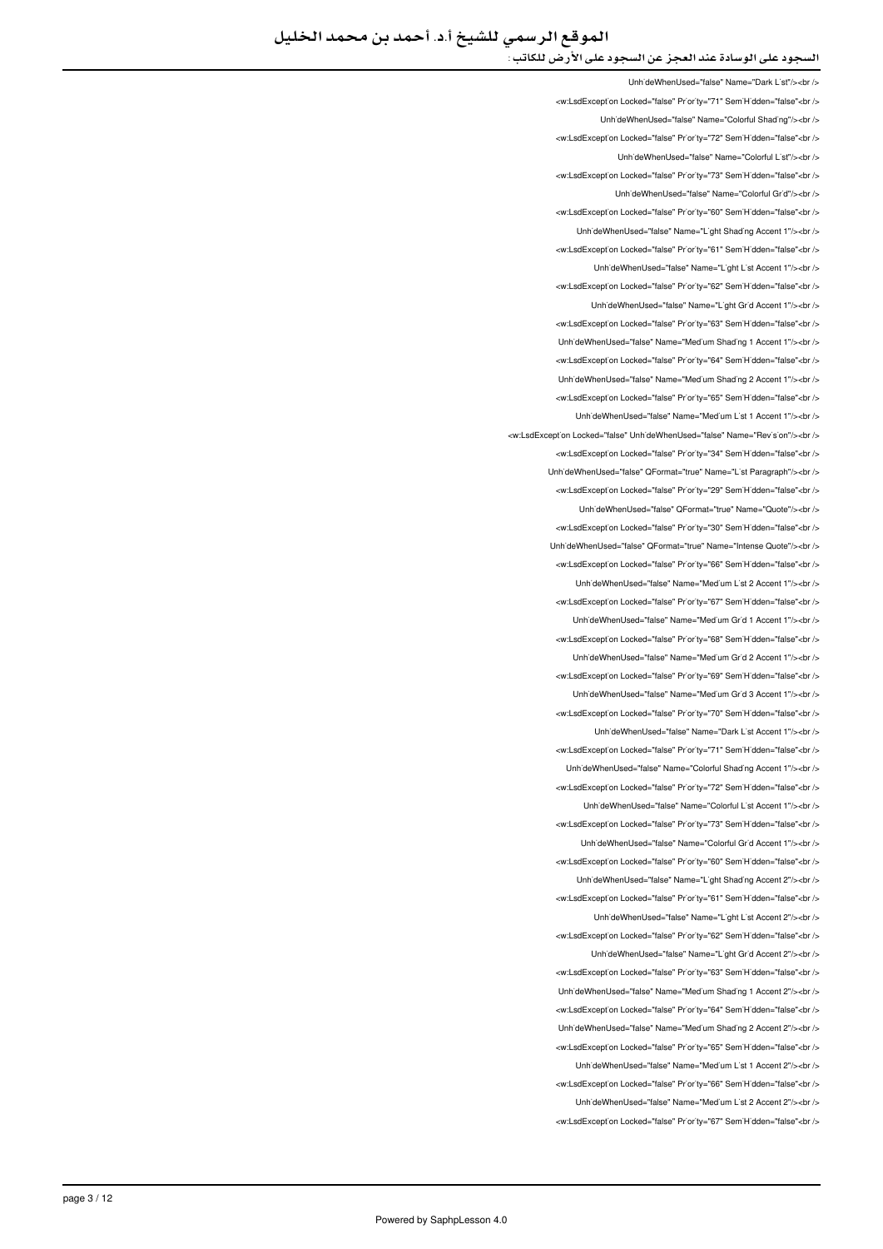LinhideWhenUsed="false" Name="Dark List"/><ht /> </w:LsdException Locked="false" Priority="71" SemiHidden="false"<br/>chi LinhideWhenUsed="false" Name="Colorful Shading"/><ht /> <w:LsdException Locked="false" Priority="72" SemiHidden="false"<br/>kor/> UnhideWhenUsed="false" Name="Colorful List"/><br /> <w:LsdException Locked="false" Priority="73" SemiHidden="false"<br/>chri LinhideWhenLised="false" Name="Colorful Grid"/szbr /s <w:LsdExcept'on Locked="false" Priority="60" SemiHidden="false"<br/>>ht /> LinhideWhenLised="false" Name="Light Shading Accent 1"/s<hr /s <w:LsdException Locked="false" Priority="61" SemiHidden="false"<br /> UnhideWhenUsed="false" Name="Light List Accent 1"/><br /> <w:LsdException Locked="false" Priority="62" SemiHidden="false"<br /> UnhideWhenUsed="false" Name="Light Grid Accent 1"/><ht /> <w:LsdExcept'on Locked="false" Pr'or'ty="63" Sem'H'dden="false"<br /> Unh'deWhenUsed="false" Name="Med'um Shad'ng 1 Accent 1"/><br /> <w:LsdException Locked="false" Priority="64" SemiHidden="false"<br/>chriden Unh'deWhenUsed="false" Name="Med'um Shad'ng 2 Accent 1"/><br /> <w:LsdException Locked="false" Priority="65" SemiHidden="false"<br/>>br/> Unh'deWhenUsed="false" Name="Med'um L'st 1 Accent 1"/><br /> will sdException Locked="false" | InhideWhenHsed="false" Name="Revision"/s/or /s/ <w:LsdException Locked="false" Priority="34" SemiHidden="false"<br/>kor/> UnhideWhenUsed="false" OFormat="true" Name="List Paragraph"/><br /> <w:LsdException Locked="false" Priority="29" SemiHidden="false"<br/>chi/> Unh'deWhenUsed="false" QFormat="true" Name="Quote"/><br /> <w:LsdException Locked="false" Priority="30" SemiHidden="false"<br/>chi UnhideWhenUsed="false" QFormat="true" Name="Intense Quote"/><br /> <w:LsdException Locked="false" Priority="66" SemiHidden="false"<br/>>htion LinhideWhenUsed="false" Name="Medium List 2 Accent 1"/s<hr /s <w:LsdException Locked="false" Priority="67" SemiHidden="false"<hr/> Unh'deWhenUsed="false" Name="Med'um Gr'd 1 Accent 1"/><br /> <w:LsdException Locked="false" Priority="68" SemiHidden="false"<hr /> Unh'deWhenUsed="false" Name="Med'um Gr'd 2 Accent 1"/><br /> <w:LsdException Locked="false" Priority="69" SemiHidden="false"<br/>chi LinhideWhenUsed="false" Name="Medium Grid 3 Accent 1"/s<hr /s <w:LsdException Locked="false" Priority="70" SemiHidden="false"<br/>kor/> UnhideWhenUsed="false" Name="Dark List Accent 1"/><br /> <w:LsdExcept'on Locked="false" Priority="71" Sem'H'dden="false"<br /> Unh'deWhenUsed="false" Name="Colorful Shading Accent 1"/><br /> <w:LsdException Locked="false" Priority="72" SemiHidden="false"<br/>kor/> LinhideWhenUsed="false" Name="Colorful List Accent 1"/><hr /> <w:LsdException Locked="false" Priority="73" SemiHidden="false"<br/>chriden LinhideWhenLised="false" Name="Colorful Grid Accent 1"/s<hr /s <w:LsdException Locked="false" Priority="60" SemiHidden="false"<br /> UnhideWhenUsed="false" Name="Light Shading Accent 2"/><ht /> <w:LsdException Locked="false" Priority="61" SemiHidden="false"<br/>cbr/> UnhideWhenUsed="false" Name="Light List Accent 2"/><br /> <w:LsdException Locked="false" Priority="62" SemiHidden="false"<br/>>ht/> UnhideWhenUsed="false" Name="Light Grid Accent 2"/><br /> will sdException Locked="false" Priority="63" SemiHidden="false">br / Unh'deWhenUsed="false" Name="Med'um Shad'ng 1 Accent 2"/><br /> <w:LsdExcept'on Locked="false" Pr'or'ty="64" Sem'H'dden="false"<br /> UnhideWhenUsed="false" Name="Medium Shading 2 Accent 2"/><br /> <w:LsdException Locked="false" Priority="65" SemiHidden="false"<br/>chr UnhideWhenUsed="false" Name="Medium List 1 Accent 2"/><br /> <w:LsdException Locked="false" Priority="66" SemiHidden="false"<br/>>ht/> UnhideWhenUsed="false" Name="Medium List 2 Accent 2"/><br /> <w:LsdException Locked="false" Priority="67" SemiHidden="false"<br/>chr/s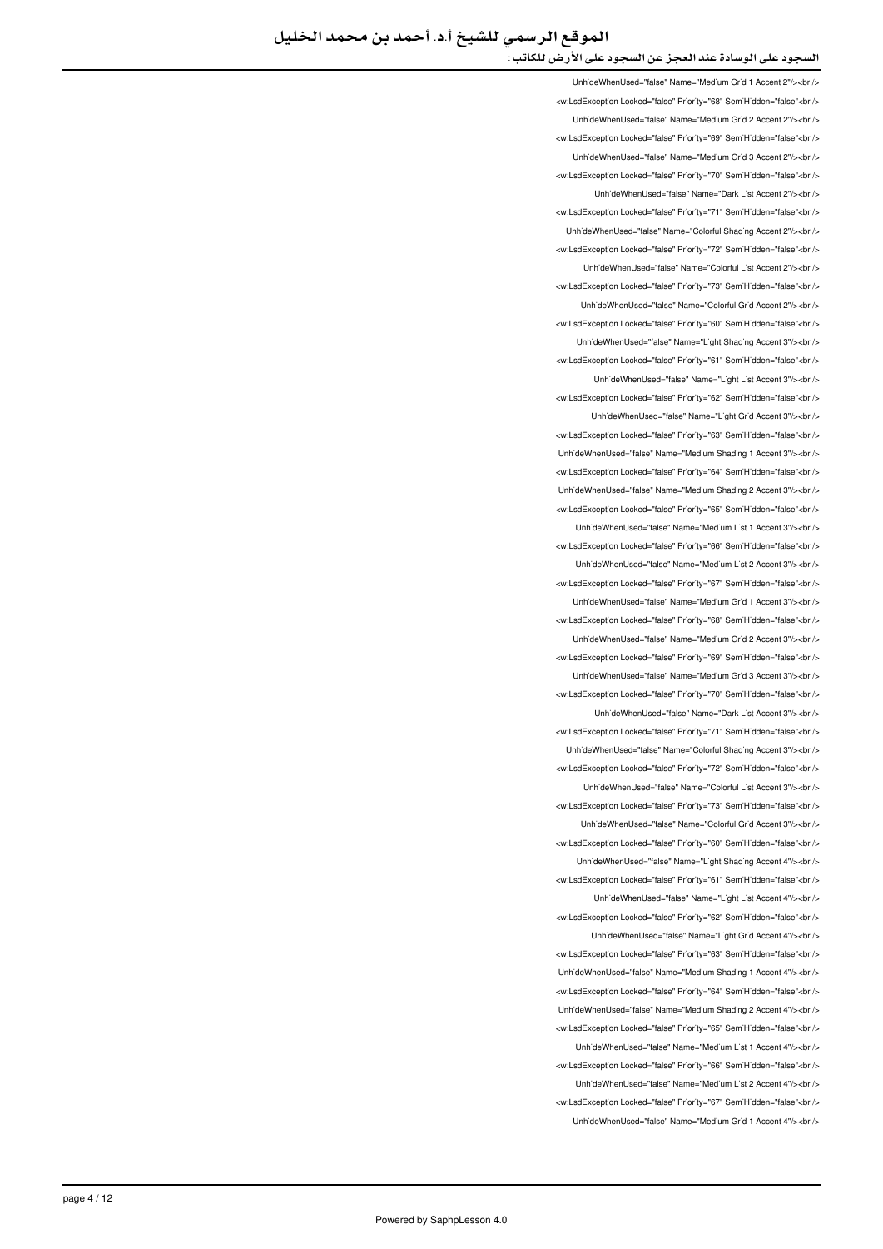UnhideWhenUsed="false" Name="Medium Grid 1 Accent 2"/><hr /> <w:LsdException Locked="false" Priority="68" SemiHidden="false"<br/>child UnhideWhenUsed="false" Name="Medium Grid 2 Accent 2"/><br /> <w:LsdException Locked="false" Priority="69" SemiHidden="false"<br/>kor/> UnhideWhenUsed="false" Name="Medium Grid 3 Accent 2"/><br /> <w:LsdException Locked="false" Priority="70" SemiHidden="false"<br/>chri LinhideWhenLised="false" Name="Dark List Accent 2"/szhr /s <w:LsdExcept'on Locked="false" Priority="71" SemiHidden="false"<br/>>ht /> LinhideWhenLised="false" Name="Colorful Shading Accent 2"/s<hr /s <w:LsdException Locked="false" Priority="72" SemiHidden="false"<br /> UnhideWhenUsed="false" Name="Colorful List Accent 2"/><br /> <w:LsdException Locked="false" Priority="73" SemiHidden="false"<br /> UnhideWhenUsed="false" Name="Colorful Grid Accent 2"/><br /> <w:LsdExcept'on Locked="false" Pr'or'ty="60" Sem'H'dden="false"<br /> Unh'deWhenUsed="false" Name="L'ght Shad'ng Accent 3"/><br /> <w:LsdExcept'on Locked="false" Pr'or'ty="61" Sem'H'dden="false"<br /> UnhideWhenUsed="false" Name="Light List Accent 3"/><br /> <w:LsdException Locked="false" Priority="62" SemiHidden="false"<br/>khidden Unh'deWhenUsed="false" Name="L'ght Gr'd Accent 3"/><br /> will sdException Locked="false" Priority="63" SemiHidden="false" <ht /s Unh'deWhenUsed="false" Name="Med'um Shad'ng 1 Accent 3"/><br /> <w:LsdException Locked="false" Priority="64" SemiHidden="false"<br/>chriden Unh'deWhenUsed="false" Name="Medium Shading 2 Accent 3"/><br /> <w:LsdException Locked="false" Priority="65" SemiHidden="false"<br/>>htion: UnhideWhenUsed="false" Name="Medium List 1 Accent 3"/><br /> <w:LsdException Locked="false" Priority="66" SemiHidden="false"<br/>>ht/> UnhideWhenUsed="false" Name="Medium List 2 Accent 3"/><br /> <w:LsdException Locked="false" Priority="67" SemiHidden="false"<br/>>ht/> LinhideWhenLised="false" Name="Medium Grid 1 Accent 3"/sabr /s <w:LsdException Locked="false" Priority="68" SemiHidden="false"<br/>>htion: LinhideWhenLised="false" Name="Medium Grid 2 Accent 3"/s<hr /s <w:LsdExcept'on Locked="false" Priority="69" Sem'H'dden="false"<br /> UnhideWhenUsed="false" Name="Medium Grid 3 Accent 3"/><br /> <w:LsdExcept'on Locked="false" Priority="70" Sem'H'dden="false"<br /> LinhideWhenUsed="false" Name="Dark List Accent 3"/><hr /> <w:LsdException Locked="false" Priority="71" SemiHidden="false"<br/>cbr/> Unh'deWhenUsed="false" Name="Colorful Shading Accent 3"/><br /> <w:LsdException Locked="false" Priority="72" SemiHidden="false"<br/>chriden Unh'deWhenUsed="false" Name="Colorful L'st Accent 3"/><br /> <w:LsdException Locked="false" Priority="73" SemiHidden="false"<hr /s UnhideWhenUsed="false" Name="Colorful Grid Accent 3"/><br /> <w:LsdException Locked="false" Priority="60" SemiHidden="false"<br/>>ht> UnhideWhenUsed="false" Name="Light Shading Accent 4"/><br /> <w:LsdException Locked="false" Priority="61" SemiHidden="false"<br/>chriden UnhideWhenUsed="false" Name="Light List Accent 4"/><br /> <w:LsdException Locked="false" Priority="62" SemiHidden="false"<br/>>ht/> UnhideWhenUsed="false" Name="Light Grid Accent 4"/><br /> <w:LsdExcept'on Locked="false" Priority="63" Sem'H'dden="false"<br /> LinhideWhenLised="false" Name="Medium Shading 1 Accent 4"/schr /s <w:LsdException Locked="false" Priority="64" SemiHidden="false"<br /> Unh'deWhenUsed="false" Name="Med'um Shad'ng 2 Accent 4"/><br /> <w:LsdException Locked="false" Priority="65" SemiHidden="false"<br/>>ht/> UnhideWhenUsed="false" Name="Medium List 1 Accent 4"/><br /> </w:LsdException Locked="false" Priority="66" SemiHidden="false"<br/>br/> UnhideWhenUsed="false" Name="Medium List 2 Accent 4"/><br/>>br <w:LsdException Locked="false" Priority="67" SemiHidden="false"<br /> UnhideWhenUsed="false" Name="Medium Grid 1 Accent 4"/><br />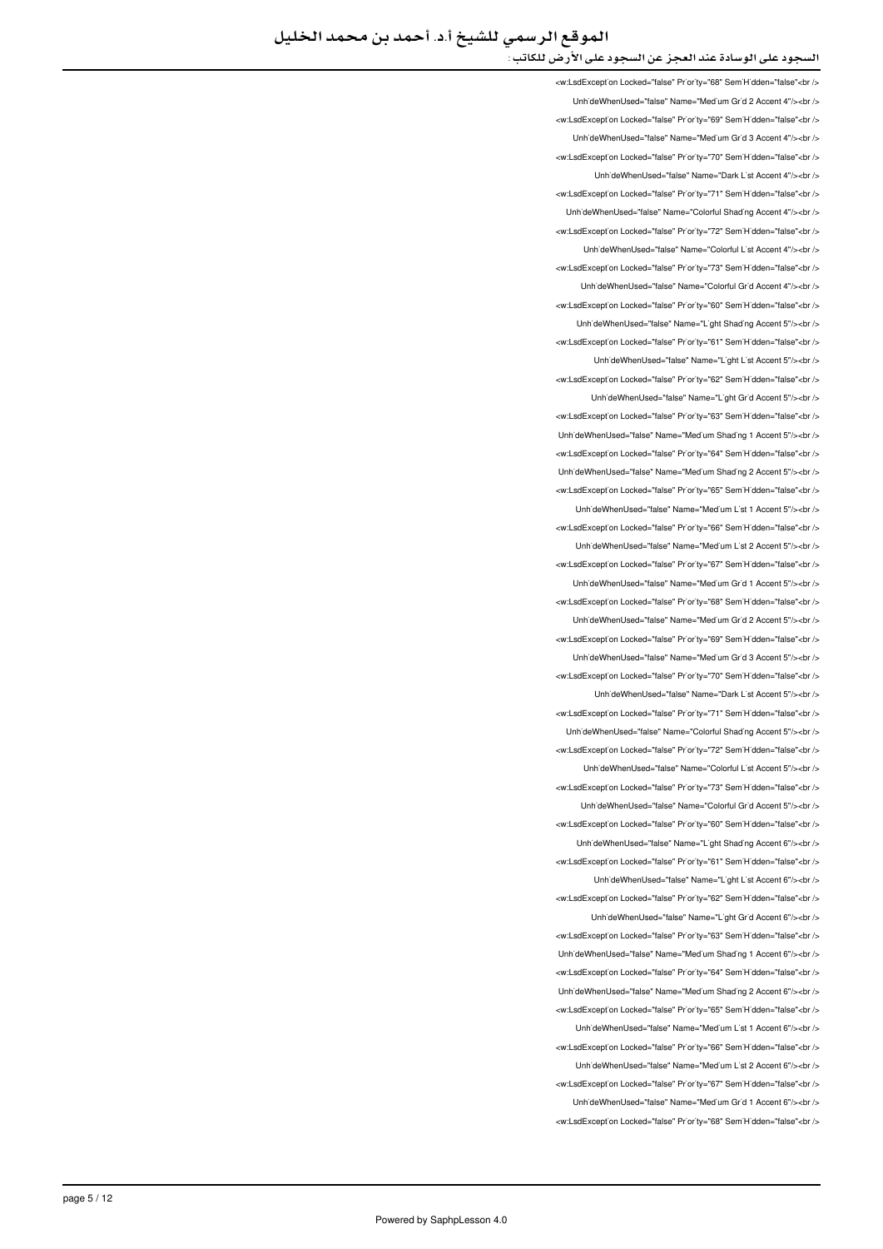<w:LsdException Locked="false" Priority="68" SemiHidden="false"<br /> UnhideWhenUsed="false" Name="Medium Grid 2 Accent 4"/><br /> <w:LsdException Locked="false" Priority="69" SemiHidden="false"<br/>>ht/> Unh'deWhenUsed="false" Name="Med'um Gr'd 3 Accent 4"/><br /> <w:LsdExcept'on Locked="false" Pr'or'ty="70" Sem'H'dden="false"<br /> LinhideWhenLised="false" Name="Dark List Accent 4"/s<hr /s <w:LsdException Locked="false" Priority="71" SemiHidden="false"<br /> Unh'deWhenUsed="false" Name="Colorful Shading Accent 4"/><br /> <w:LsdException Locked="false" Priority="72" SemiHidden="false"<hr /> UnhideWhenUsed="false" Name="Colorful List Accent 4"/><br /> <w:LsdException Locked="false" Priority="73" SemiHidden="false"<br/>check UnhideWhenUsed="false" Name="Colorful Grid Accent 4"/><br /> <w:LsdException Locked="false" Priority="60" SemiHidden="false"<br /> Unh'deWhenUsed="false" Name="L'ght Shading Accent 5"/><br /> <w:LsdException Locked="false" Priority="61" SemiHidden="false"<br /> Unh'deWhenUsed="false" Name="L'ght L'st Accent 5"/><br /> <w:LsdException Locked="false" Priority="62" SemiHidden="false"<br /> Unh'deWhenUsed="false" Name="L'ght Gr'd Accent 5"/><br /> <w:LsdExcept'on Locked="false" Priority="63" Sem'H'dden="false"<br /> LinhideWhenLised="false" Name="Medium Shading 1 Accent 5"/szhr /s <w:LsdException Locked="false" Priority="64" SemiHidden="false"<br/>>br/> LinhideWhenUsed="false" Name="Medium Shading 2 Accent 5"/><ht /> <w:LsdException Locked="false" Priority="65" SemiHidden="false"<br/>chi/> UnhideWhenUsed="false" Name="Medium List 1 Accent 5"/><br /> <w:LsdException Locked="false" Priority="66" SemiHidden="false"<br/>chi UnhideWhenUsed="false" Name="Medium List 2 Accent 5"/><br/>>br /> <w:LsdException Locked="false" Priority="67" SemiHidden="false"<br/>>htion: LinhideWhenLised="false" Name="Medium Grid 1 Accent 5"/s<hr /s <w:LsdException Locked="false" Priority="68" SemiHidden="false"<br/>chriden Unh'deWhenUsed="false" Name="Med'um Gr'd 2 Accent 5"/><br /> <w:LsdException Locked="false" Priority="69" SemiHidden="false"<br/>chr Unh'deWhenUsed="false" Name="Med'um Gr'd 3 Accent 5"/><br /> <w:LsdException Locked="false" Priority="70" SemiHidden="false"<br/>chi LinhideWhenLised="false" Name="Dark List Accent 5"/><hr /> <w:LsdException Locked="false" Priority="71" SemiHidden="false"<br/>kor/> Unh'deWhenUsed="false" Name="Colorful Shading Accent 5"/><br /> <w:LsdExcept'on Locked="false" Pr'or'ty="72" Sem'H'dden="false"<br /> UnhideWhenUsed="false" Name="Colorful List Accent 5"/><ht /> <w:LsdException Locked="false" Priority="73" SemiHidden="false"<br/>kor/> LinhideWhenUsed="false" Name="Colorful Grid Accent 5"/><hr /> <w:LsdException Locked="false" Priority="60" SemiHidden="false"<br/>chriden Unh'deWhenUsed="false" Name="L'ght Shad'ng Accent 6"/><br /> <w:LsdException Locked="false" Priority="61" SemiHidden="false"<br /> LinhideWhenUsed="false" Name="Light List Accent 6"/><ht /> <w:LsdException Locked="false" Priority="62" SemiHidden="false"<br/>cbr /> UnhideWhenUsed="false" Name="Light Grid Accent 6"/><br /> <w:LsdException Locked="false" Priority="63" SemiHidden="false"<br/>>htion: Unh'deWhenUsed="false" Name="Med'um Shading 1 Accent 6"/><br /> will sdException Locked="false" Priority="64" SemiHidden="false">br / Unh'deWhenUsed="false" Name="Med'um Shad'ng 2 Accent 6"/><br /> <w:LsdExcept'on Locked="false" Pr'or'ty="65" Sem'H'dden="false"<br /> UnhideWhenUsed="false" Name="Medium List 1 Accent 6"/><br /> <w:LsdException Locked="false" Priority="66" SemiHidden="false"<br/>chr UnhideWhenUsed="false" Name="Medium List 2 Accent 6"/><br /> <w:LsdException Locked="false" Priority="67" SemiHidden="false"<br/>>ht/> Unh'deWhenUsed="false" Name="Med'um Gr'd 1 Accent 6"/><br /> <w:LsdException Locked="false" Priority="68" SemiHidden="false"<br/>chr/s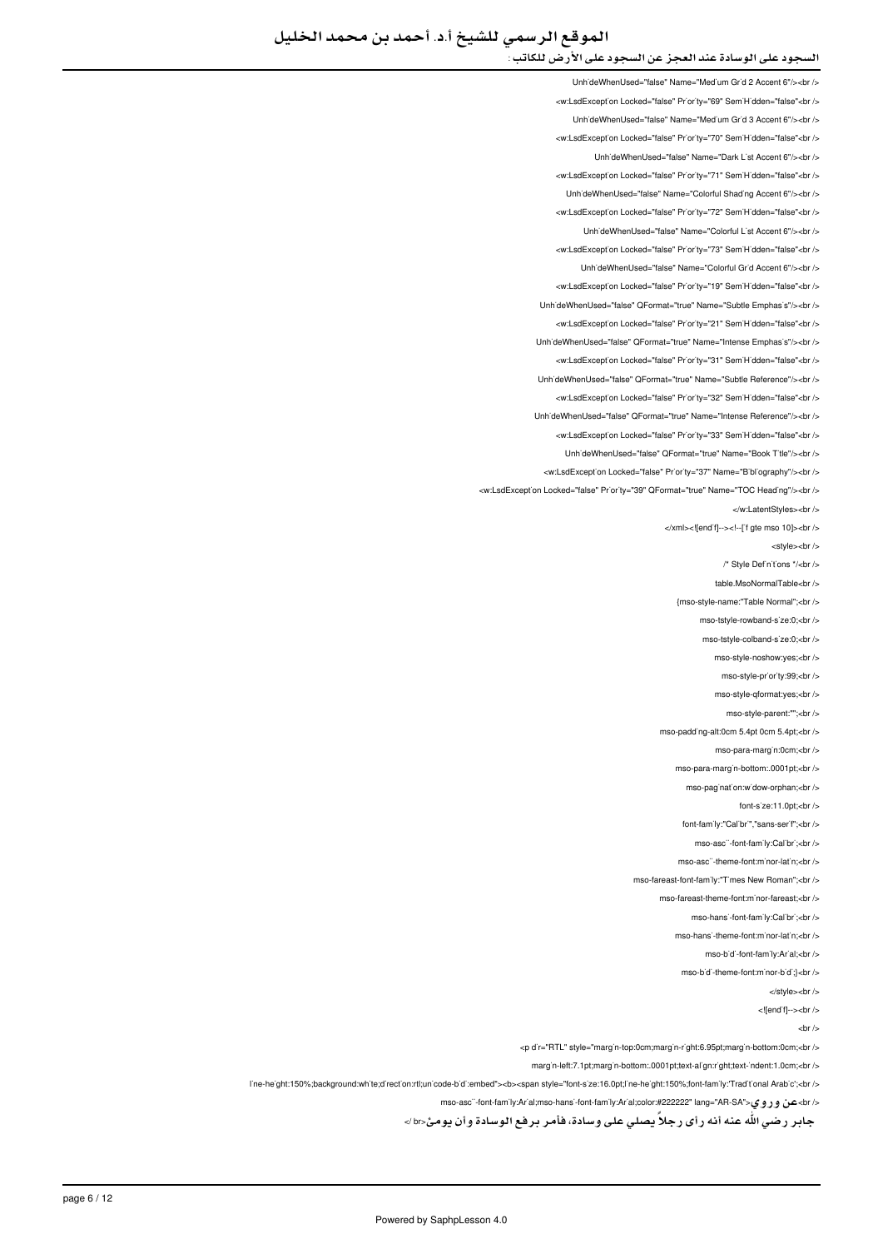UnhideWhenUsed="false" Name="Medium Grid 2 Accent 6"/><br /> <w:LsdException Locked="false" Priority="69" SemiHidden="false"<br/>child UnhideWhenUsed="false" Name="Medium Grid 3 Accent 6"/><br /> <w:LsdException Locked="false" Priority="70" SemiHidden="false"<br/>kor/> UnhideWhenUsed="false" Name="Dark List Accent 6"/><br /> <w:LsdException Locked="false" Priority="71" SemiHidden="false"<br/>check LinhideWhenUsed="false" Name="Colorful Shading Accent 6"/><br /> <w:LsdException Locked="false" Priority="72" SemiHidden="false"<br/>chi/> LinhideWhenUsed="false" Name="Colorful List Accent 6"/><hr /> <w:LsdException Locked="false" Priority="73" SemiHidden="false"<br /> UnhideWhenUsed="false" Name="Colorful Grid Accent 6"/><br /> <w:LsdException Locked="false" Priority="19" SemiHidden="false"<br /> UnhideWhenUsed="false" QFormat="true" Name="Subtle Emphasis"/><br /> <w:LsdExcept'on Locked="false" Pr'or'ty="21" Sem'H'dden="false"<br /> Unh'deWhenUsed="false" QFormat="true" Name="Intense Emphas's"/><br /> <w:LsdException Locked="false" Priority="31" SemiHidden="false"<br/>chriden Unh'deWhenUsed="false" QFormat="true" Name="Subtle Reference"/><br /> <w:LsdException Locked="false" Priority="32" SemiHidden="false"<br/>>br/> Unh'deWhenUsed="false" QFormat="true" Name="Intense Reference"/><br /> ∠w:LsdExcention Locked="false" Priority="33" SemiHidden="false"∠hr Unh'deWhenUsed="false" QFormat="true" Name="Book T'tle"/><br /> <w:LsdException Locked="false" Priority="37" Name="Bibliography"/><br/><br/>br <w:LsdException Locked="false" Priority="39" QFormat="true" Name="TOC Heading"/><br /> </w:LatentStyles><br/><br/> </xml><![end'f]--><!--['f gte mso 10]><br/>>br <style><br/><br/>> /\* Style Definitions \*/<br/>checkstyle /> table.MsoNormalTable<br /> {mso-style-name:"Table Normal";<br /> mso-tstyle-rowband-s'ze:0;<br /> mso-tstyle-colband-size:0:<br /> mso-style-noshow:yes;<br /> mso-style-pr'or'ty:99;<br /> mso-style-qformat:yes;<br /> mso-style-parent:"":<br /> mso-padding-alt:0cm 5.4pt 0cm 5.4pt;<br/><br/>b/ mso-para-marg'n:0cm;<br /> mso-para-margin-bottom:.0001pt;<br/>>hr mso-pagination:widow-orphan;<br/><br/>br  $font-s'ze:11.0nt'$ chr /s font-family:"Calibri","sans-serif":<br/>chr mso-asc"-font-family:Calibri:<br/>check mso-asc"-theme-font:minor-latin;<br/>-br /> mso-fareast-font-family:"Times New Roman":<br /> mso-fareast-theme-font:minor-fareast;<br /> mso-hans'-font-fam'ly:Cal'br';<br /> mso-hansi-theme-font:minor-latin;<br/>-br /> mso-bidi-font-family:Arial;<br/>>br mso-hidi-theme-font-minor-hidi-lehr </style><br/></br>

<! [end'f]--><br />

 $chr/s$ 

<br />p d'r="RTL" style="marg'n-top:0cm;marg'n-r'ght:6.95pt;marg'n-bottom:0cm;<br />

marg'n-left:7.1pt;marg'n-bottom:.0001pt;text-al'gn:r'ght;text-'ndent:1.0cm;<br/>kr />

I'ne-he'ght:150%;background;wh'te:d'rect'on;rtl:un'code-b'd':embed"><b><span style="font-s'ze:16.0pt;l'ne-he'ght:150%;font-family:"Trad't'onal Arab'c':<br/>>r/>

</ br>عن وروي<"R-SA">tont-family:Arial;mso-hansi-font-family:Arial;color:#222222" lang="AR-SA">ي وروي</br>

جابر رضي الله عنه أنه رأى رجلاً يصلي على وسادة، فأمر برفع الوسادة وأن يومئ<br ⁄>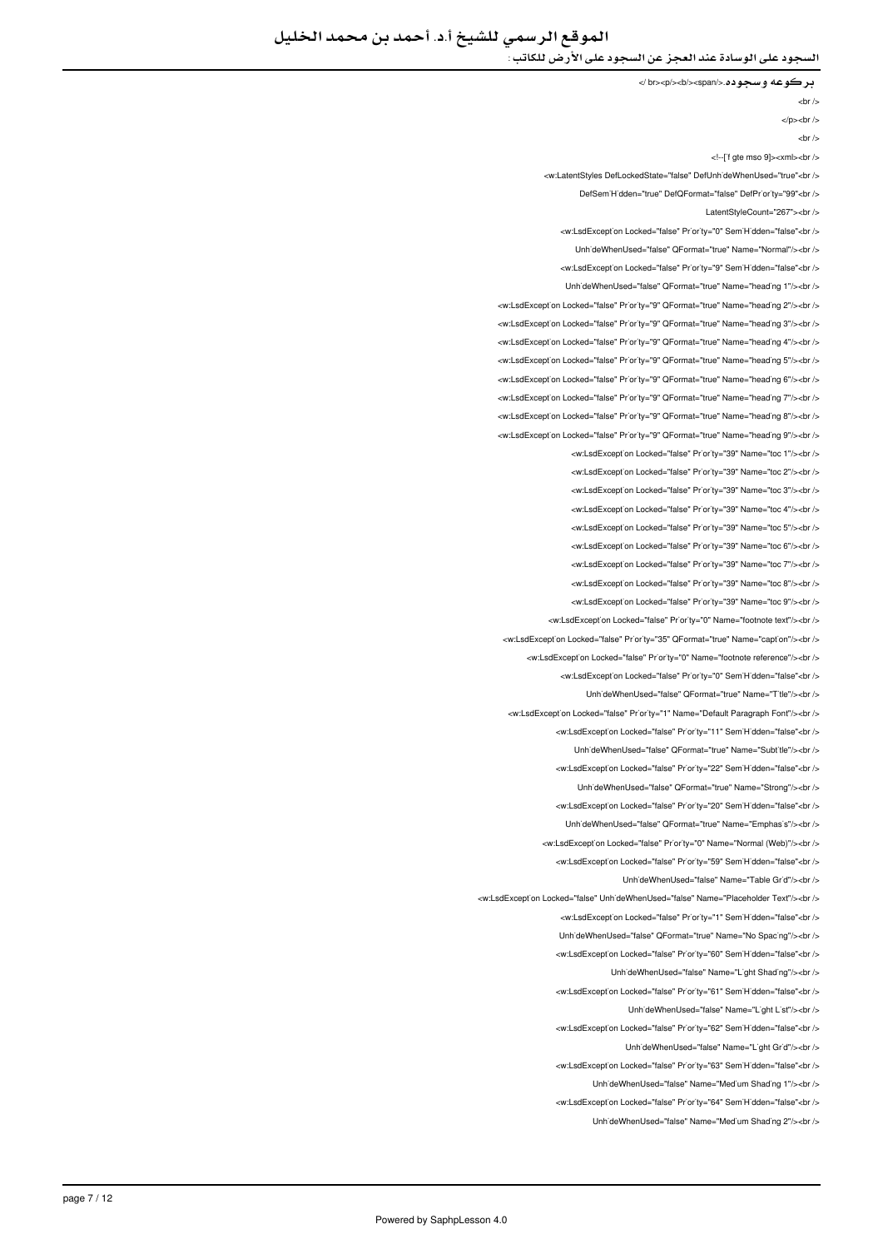الموقع الرسمي للشيخ أ.د. أحمد بن محمد الخليل

السجود على الوسادة عند العجز عن السجود على الأرض للكاتب :

بركوعه وسجوده.</span></b></p><br /<

 $**br** /**>**$ 

 $<$ /p $>$  $<$ hr/ $>$ 

 $chr/$ 

<!--['f gte mso 9]><xml><br/>>br />

<w:LatentStyles DefLockedState="false" DefLinhideWhenLised="true"<br/>chr

DefSem Hidden="true" DefOFormat="false" DefPriority="99"<br />

LatentStyleCount="267"><br />

<w:LsdException Locked="false" Priority="0" SemiHidden="false"<hr />

UnhideWhenUsed="false" QFormat="true" Name="Normal"/><br />

<w:LsdException Locked="false" Priority="9" SemiHidden="false"<br/>child

UnhideWhenUsed="false" QFormat="true" Name="heading 1"/><br />

<w:LsdException Locked="false" Priority="9" QFormat="true" Name="heading 2"/><br /> <w:LsdExcept'on Locked="false" Pr'or'ty="9" QFormat="true" Name="head'ng 3"/><br /> <w:LsdException Locked="false" Priority="9" QFormat="true" Name="heading 4"/><br /> <w:LsdException Locked="false" Priority="9" QFormat="true" Name="heading 5"/><br /> <w:LsdException Locked="false" Priority="9" QFormat="true" Name="heading 6"/><br /> <w:LsdException Locked="false" Priority="9" QFormat="true" Name="heading 7"/><br /> <w:LsdException Locked="false" Priority="9" QFormat="true" Name="heading 8"/><br /> </ br></"9 heading="Name" true="QFormat" 9="Priority" false="Locked LsdException:w < <w:LsdException Locked="false" Priority="39" Name="toc 1"/><br /> <w:LsdException Locked="false" Priority="39" Name="toc 2"/><br/><ht> <w:LsdExcept'on Locked="false" Pr'or'ty="39" Name="toc 3"/><br /> <w:LsdException Locked="false" Priority="39" Name="toc 4"/><br/><br/>br </a>

> <w:LsdException Locked="false" Priority="39" Name="toc 5"/><br /> <w:LsdException Locked="false" Priority="39" Name="toc 6"/><br />

> <w:LsdException Locked="false" Priority="39" Name="toc 7"/><br/>>ht/>

<w:LsdException Locked="false" Priority="39" Name="toc 8"/><hr />

<w:LsdException Locked="false" Priority="39" Name="toc 9"/><br />

<w:LsdExcept'on Locked="false" Pr'or'ty="0" Name="footnote text"/><br /> <w:LsdException Locked="false" Priority="35" QEormat="true" Name="caption"/s<hr /s

<w:LsdExcept'on Locked="false" Priority="0" Name="footnote reference"/><br />

<w:LsdException Locked="false" Priority="0" SemiHidden="false"<br/>check-

LinhideWhenLised="false" OFormat="true" Name="Title"/s<hr /s

<w:LsdException Locked="false" Priority="1" Name="Default Paragraph Font"/><br />

<w:LsdException Locked="false" Priority="11" SemiHidden="false"<br />

Unh'deWhenUsed="false" QFormat="true" Name="Subt'tle"/><br />

<w:LsdException Locked="false" Priority="22" SemiHidden="false"<br/>chriden

Unh'deWhenUsed="false" QFormat="true" Name="Strong"/><br />

<w:LsdException Locked="false" Priority="20" SemiHidden="false"<hr />

UnhideWhenUsed="false" OFormat="true" Name="Emphasis"/><br />

<w:LsdException Locked="false" Priority="0" Name="Normal (Web)"/><br />

<w:LsdExcept'on Locked="false" Priority="59" Sem'H'dden="false"<br />

LinhideWhenUsed="false" Name="Table Grid"/><br />

<w:LsdExcept'on Locked="false" Unh'deWhenUsed="false" Name="Placeholder Text"/><br />

<w:LsdException Locked="false" Priority="1" SemiHidden="false"<br/>>ht/>

UnhideWhenUsed="false" QFormat="true" Name="No Spacing"/><br />

<w:LsdExcept'on Locked="false" Priority="60" Sem'H'dden="false"<br />

LinhideWhenUsed="false" Name="Light Shading"/s<hr

<w:LsdException Locked="false" Priority="61" SemiHidden="false"<br />

Unh'deWhenUsed="false" Name="L'ght L'st"/><br />

<w:LsdException Locked="false" Priority="62" SemiHidden="false"<br/>>ht/>

LinhideWhenUsed="false" Name="Light Grid"/><ht/>

<w:LsdException Locked="false" Priority="63" SemiHidden="false"<br />

UnhideWhenUsed="false" Name="Medium Shading 1"/><br/>>br

<w:LsdExcept'on Locked="false" Priority="64" SemiHidden="false"<br/>>ht/>

UnhideWhenUsed="false" Name="Medium Shading 2"/><ht />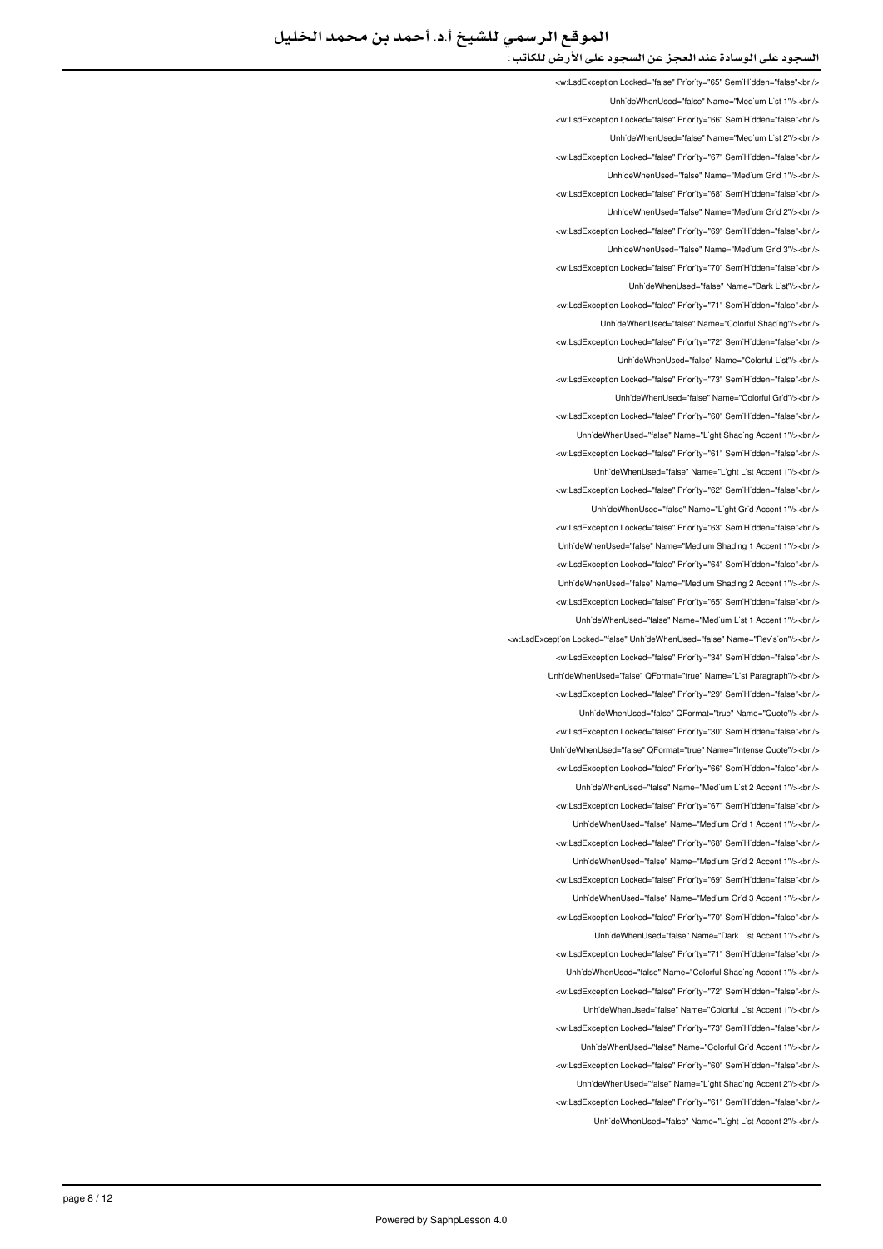<w:LsdExcept<sup>'</sup>on Locked="false" Pr<sup>'</sup>or<sup>'</sup>ty="65" Sem'H'dden="false"<br /> UnhideWhenUsed="false" Name="Medium List 1"/><br /> <w:LsdException Locked="false" Priority="66" SemiHidden="false"<br/>chriden UnhideWhenUsed="false" Name="Medium List 2"/><br /> <w:LsdExcept'on Locked="false" Pr'or'ty="67" Sem'H'dden="false"<br /> </ br></"1 Grid Medium="Name" false="UnhideWhenUsed <w:LsdException Locked="false" Priority="68" SemiHidden="false"<br/>chriden UnhideWhenUsed="false" Name="Medium Grid 2"/><br /> <w:LsdException Locked="false" Priority="69" SemiHidden="false"<hr /> UnhideWhenUsed="false" Name="Medium Grid 3"/><br /> <w:LsdException Locked="false" Priority="70" SemiHidden="false"<br/>check LinhideWhenUsed="false" Name="Dark List"/><br /> <w:LsdException Locked="false" Priority="71" SemiHidden="false"<br /> UnhideWhenUsed="false" Name="Colorful Shading"/><ht /> <w:LsdException Locked="false" Priority="72" SemiHidden="false"<br /> UnhideWhenUsed="false" Name="Colorful List"/><br /> <w:LsdException Locked="false" Priority="73" SemiHidden="false"<br/>>ht/> LinhideWhenLised="false" Name="Colorful Grid"/><hr <w:LsdExcept'on Locked="false" Priority="60" Sem'H'dden="false"<br/>cht /> 1 InhideWhenUsed="false" Name="Light Shading Accent 1"/><br/>>br <w:LsdException Locked="false" Priority="61" SemiHidden="false"<br /> LinhideWhenUsed="false" Name="Light List Accent 1"/><ht /> <w:LsdException Locked="false" Priority="62" SemiHidden="false"<br/>>ht/> Unh'deWhenUsed="false" Name="L'ght Gr'd Accent 1"/><br /> <w:LsdException Locked="false" Priority="63" SemiHidden="false"<br/>chi UnhideWhenUsed="false" Name="Medium Shading 1 Accent 1"/><br /> <w:LsdException Locked="false" Priority="64" SemiHidden="false"<br/>>htion Unh'deWhenUsed="false" Name="Med'um Shad'ng 2 Accent 1"/><br /> <w:LsdException Locked="false" Priority="65" SemiHidden="false"<br/>chriden Unh'deWhenUsed="false" Name="Medium List 1 Accent 1"/><br /> <w:LsdException Locked="false" LinhideWhenUsed="false" Name="Beyision"/><hr <w:LsdExcept'on Locked="false" Priority="34" Sem'H'dden="false"<br /> UnhideWhenUsed="false" QFormat="true" Name="List Paragraph"/><br /> <w:LsdExcept'on Locked="false" Priority="29" Sem'H'dden="false"<br /> UnhideWhenUsed="false" QFormat="true" Name="Quote"/><ht /> <w:LsdException Locked="false" Priority="30" SemiHidden="false"<br /> Unh'deWhenUsed="false" QFormat="true" Name="Intense Quote"/><br /> <w:LsdException Locked="false" Priority="66" SemiHidden="false"<br/>chriden Unh'deWhenUsed="false" Name="Medium List 2 Accent 1"/><br/>>br /> <w:LsdException Locked="false" Priority="67" SemiHidden="false"<hr /s UnhideWhenUsed="false" Name="Medium Grid 1 Accent 1"/><br /> <w:LsdException Locked="false" Priority="68" SemiHidden="false"<br/>>ht> Unh'deWhenUsed="false" Name="Med'um Gr'd 2 Accent 1"/><br /> <w:LsdException Locked="false" Priority="69" SemiHidden="false"<br/>chriden Unh'deWhenUsed="false" Name="Med'um Gr'd 3 Accent 1"/><br /> <w:LsdException Locked="false" Priority="70" SemiHidden="false"<br/>>ht/> UnhideWhenUsed="false" Name="Dark List Accent 1"/><br /> <w:LsdExcept'on Locked="false" Priority="71" Sem'H'dden="false"<br /> LinhideWhenLised="false" Name="Colorful Shading Accent 1"/s<hr /s <w:LsdException Locked="false" Priority="72" SemiHidden="false"<br /> Unh'deWhenUsed="false" Name="Colorful L'st Accent 1"/><br /> <w:LsdException Locked="false" Priority="73" SemiHidden="false"<br/>>ht/> UnhideWhenUsed="false" Name="Colorful Grid Accent 1"/><ht /> </w:LsdException Locked="false" Priority="60" SemiHidden="false"<br/>br/> UnhideWhenUsed="false" Name="Light Shading Accent 2"/><br/>>br <w:LsdExcept'on Locked="false" Priority="61" SemiHidden="false"<br/>>ht/> LinhideWhenUsed="false" Name="Light List Accent 2"/><ht />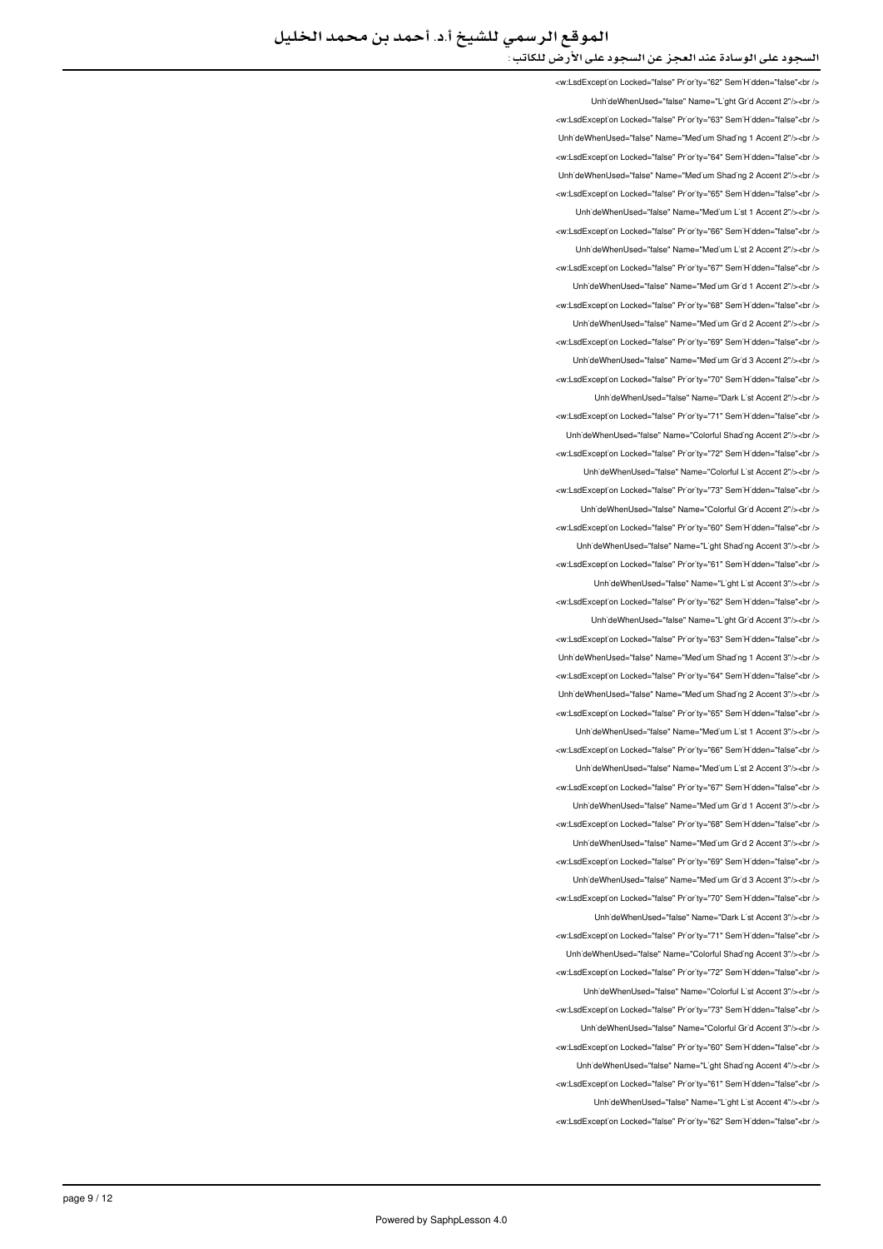<w:LsdExcept'on Locked="false" Pr'or'ty="62" Sem'H'dden="false"<br /> UnhideWhenUsed="false" Name="Light Grid Accent 2"/><br /> <w:LsdException Locked="false" Priority="63" SemiHidden="false"<br/>>ht/> Unh'deWhenUsed="false" Name="Med'um Shad'ng 1 Accent 2"/><br /> <w:LsdExcept'on Locked="false" Pr'or'ty="64" Sem'H'dden="false"<br /> LinhideWhenLised="false" Name="Medium Shading 2 Accent 2"/schr <w:LsdException Locked="false" Priority="65" SemiHidden="false"<br/>chriden Unh'deWhenUsed="false" Name="Medium List 1 Accent 2"/><br /> <w:LsdException Locked="false" Priority="66" SemiHidden="false"<hr /> UnhideWhenUsed="false" Name="Medium List 2 Accent 2"/><br /> <w:LsdException Locked="false" Priority="67" SemiHidden="false"<br/>>ht /> UnhideWhenUsed="false" Name="Medium Grid 1 Accent 2"/><br /> <w:LsdException Locked="false" Priority="68" SemiHidden="false"<br /> UnhideWhenUsed="false" Name="Medium Grid 2 Accent 2"/><hr /> <w:LsdException Locked="false" Priority="69" SemiHidden="false"<br /> UnhideWhenUsed="false" Name="Medium Grid 3 Accent 2"/><br /> <w:LsdExcept'on Locked="false" Pr'or'ty="70" Sem'H'dden="false"<br /> UnhideWhenUsed="false" Name="Dark List Accent 2"/><br /> <w:LsdExcept'on Locked="false" Priority="71" Sem'H'dden="false"<br/>cht /> LinhideWhenLised="false" Name="Colorful Shading Accent 2"/schr <w:LsdException Locked="false" Priority="72" SemiHidden="false"<br/>>br/> UnhideWhenUsed="false" Name="Colorful List Accent 2"/><ht /> <w:LsdException Locked="false" Priority="73" SemiHidden="false"<br/>chi/> UnhideWhenUsed="false" Name="Colorful Grid Accent 2"/><br /> <w:LsdException Locked="false" Priority="60" SemiHidden="false"<br/>chi UnhideWhenUsed="false" Name="Light Shading Accent 3"/><br/>>br /> <w:LsdException Locked="false" Priority="61" SemiHidden="false"<br/>>htion: Unh'deWhenUsed="false" Name="L'ght L'st Accent 3"/><br /> <w:LsdException Locked="false" Priority="62" SemiHidden="false"<br/>chriden Unh'deWhenUsed="false" Name="L'ght Gr'd Accent 3"/><br /> <w:LsdException Locked="false" Priority="63" SemiHidden="false"<hr /> Unh'deWhenUsed="false" Name="Med'um Shading 1 Accent 3"/><br /> <w:LsdException Locked="false" Priority="64" SemiHidden="false"<br/>>ht> Unh'deWhenUsed="false" Name="Med'um Shad'ng 2 Accent 3"/><br /> <w:LsdException Locked="false" Priority="65" SemiHidden="false"<br/>chriden Unh'deWhenUsed="false" Name="Med'um L'st 1 Accent 3"/><br /> <w:LsdExcept'on Locked="false" Priority="66" Sem'H'dden="false"<br /> UnhideWhenUsed="false" Name="Medium List 2 Accent 3"/><ht /> <w:LsdException Locked="false" Priority="67" SemiHidden="false"<br/>kor/> LinhideWhenLised="false" Name="Medium Grid 1 Accent 3"/><hr /> <w:LsdException Locked="false" Priority="68" SemiHidden="false"<br/>chriden LinhideWhenLised="false" Name="Medium Grid 2 Accent 3"/s<hr /s <w:LsdException Locked="false" Priority="69" SemiHidden="false"<br /> UnhideWhenUsed="false" Name="Medium Grid 3 Accent 3"/><br /> <w:LsdException Locked="false" Priority="70" SemiHidden="false"<br/>cbr /> UnhideWhenUsed="false" Name="Dark List Accent 3"/><br /> <w:LsdException Locked="false" Priority="71" SemiHidden="false"<br/>>ht/> Unh'deWhenUsed="false" Name="Colorful Shading Accent 3"/><br /> will sdException Locked="false" Priority="72" SemiHidden="false">br / Unh'deWhenUsed="false" Name="Colorful L'st Accent 3"/><br /> <w:LsdExcept'on Locked="false" Pr'or'ty="73" Sem'H'dden="false"<br /> UnhideWhenUsed="false" Name="Colorful Grid Accent 3"/><br /> <w:LsdException Locked="false" Priority="60" SemiHidden="false"<br/>chriden UnhideWhenUsed="false" Name="Light Shading Accent 4"/><br /> <w:LsdException Locked="false" Priority="61" SemiHidden="false"<br/>check UnhideWhenUsed="false" Name="Light List Accent 4"/><br /> <w:LsdException Locked="false" Priority="62" SemiHidden="false"<br/>chr/s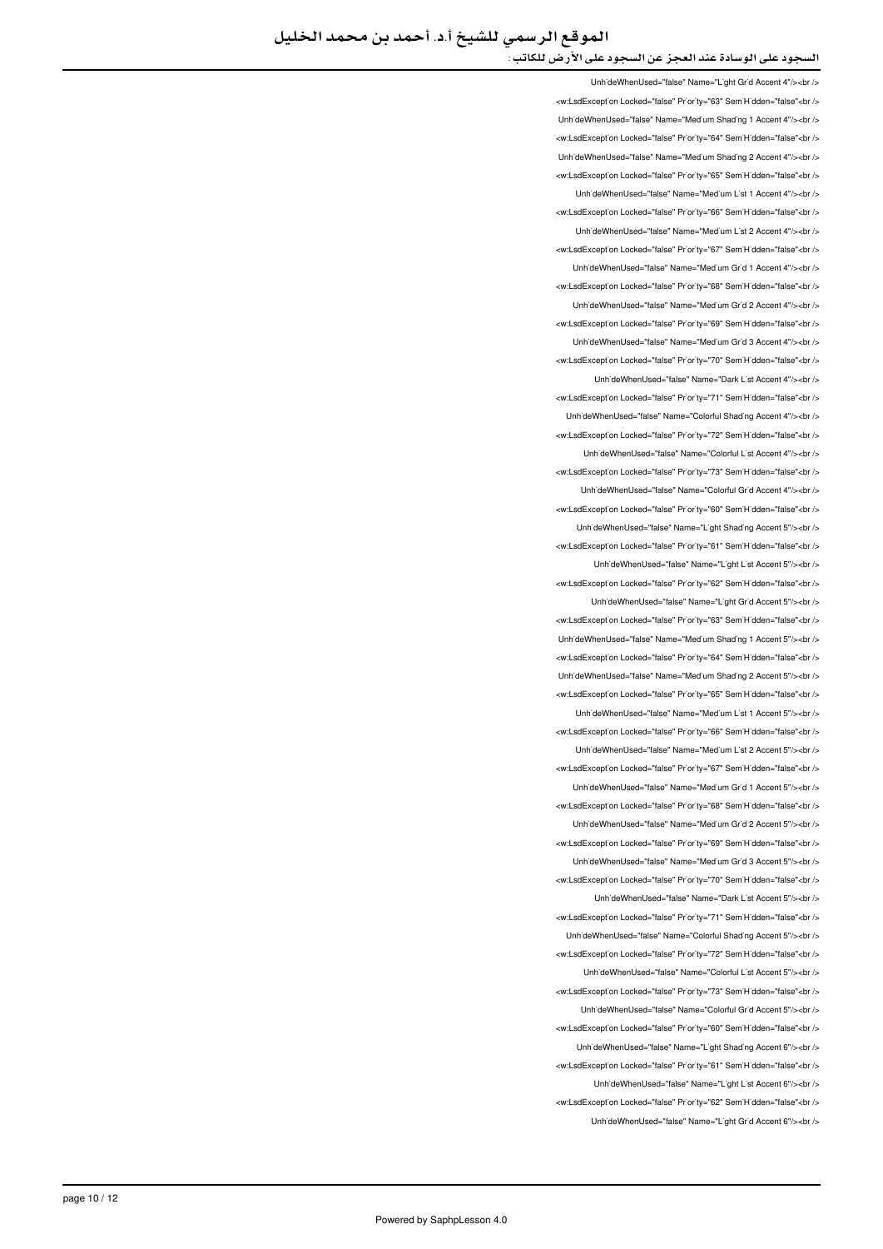UnhideWhenUsed="false" Name="Light Grid Accent 4"/><br /> <w:LsdException Locked="false" Priority="63" SemiHidden="false"<br/>child UnhideWhenUsed="false" Name="Medium Shading 1 Accent 4"/><br /> <w:LsdException Locked="false" Priority="64" SemiHidden="false"<br/>kor/> UnhideWhenUsed="false" Name="Medium Shading 2 Accent 4"/><br /> </ br"<false="SemiHidden" 65="Priority" false="Locked LsdException:w < LinhideWhenLised="false" Name="Medium List 1 Accent 4"/szhr /s <w:LsdException Locked="false" Priority="66" SemiHidden="false"<br/>>htion LinhideWhenLised="false" Name="Medium List 2 Accent 4"/s<hr /s <w:LsdException Locked="false" Priority="67" SemiHidden="false"<br /> UnhideWhenUsed="false" Name="Medium Grid 1 Accent 4"/><br /> <w:LsdException Locked="false" Priority="68" SemiHidden="false"<br /> UnhideWhenUsed="false" Name="Medium Grid 2 Accent 4"/><br /> <w:LsdExcept'on Locked="false" Pr'or'ty="69" Sem'H'dden="false"<br /> Unh'deWhenUsed="false" Name="Med'um Gr'd 3 Accent 4"/><br /> <w:LsdExcept'on Locked="false" Pr'or'ty="70" Sem'H'dden="false"<br /> UnhideWhenUsed="false" Name="Dark List Accent 4"/><br /> <w:LsdException Locked="false" Priority="71" SemiHidden="false"<br/>>htion: Unh'deWhenUsed="false" Name="Colorful Shading Accent 4"/><br /> will sdException Locked="false" Priority="72" SemiHidden="false" chr Unh'deWhenUsed="false" Name="Colorful L'st Accent 4"/><br /> <w:LsdException Locked="false" Priority="73" SemiHidden="false"<br/>chriden Unh'deWhenUsed="false" Name="Colorful Gr'd Accent 4"/><br /> <w:LsdException Locked="false" Priority="60" SemiHidden="false"<br/>>htion: UnhideWhenUsed="false" Name="Light Shading Accent 5"/><br /> <w:LsdException Locked="false" Priority="61" SemiHidden="false"<br/>>ht/> UnhideWhenUsed="false" Name="Light List Accent 5"/><br /> <w:LsdException Locked="false" Priority="62" SemiHidden="false"<br /> UnhideWhenUsed="false" Name="Light Grid Accent 5"/><br /> <w:LsdException Locked="false" Priority="63" SemiHidden="false"<br/>>htion: LinhideWhenLised="false" Name="Medium Shading 1 Accent 5"/s<hr /s <w:LsdExcept'on Locked="false" Priority="64" Sem'H'dden="false"<br /> UnhideWhenUsed="false" Name="Medium Shading 2 Accent 5"/><br /> <w:LsdExcept'on Locked="false" Priority="65" Sem'H'dden="false"<br /> UnhideWhenUsed="false" Name="Medium List 1 Accent 5"/><ht /> <w:LsdException Locked="false" Priority="66" SemiHidden="false"<br/>cbr /> UnhideWhenUsed="false" Name="Medium List 2 Accent 5"/><br /> <w:LsdException Locked="false" Priority="67" SemiHidden="false"<br/>chriden Unh'deWhenUsed="false" Name="Med'um Gr'd 1 Accent 5"/><br /> <w:LsdException Locked="false" Priority="68" SemiHidden="false"<hr /> UnhideWhenUsed="false" Name="Medium Grid 2 Accent 5"/><br /> <w:LsdException Locked="false" Priority="69" SemiHidden="false"<br/>>ht> UnhideWhenUsed="false" Name="Medium Grid 3 Accent 5"/><br /> <w:LsdException Locked="false" Priority="70" SemiHidden="false"<br/>chriden Unh'deWhenUsed="false" Name="Dark L'st Accent 5"/><br /> <w:LsdException Locked="false" Priority="71" SemiHidden="false"<br/>>ht/> Unh'deWhenUsed="false" Name="Colorful Shading Accent 5"/><br /> <w:LsdExcept'on Locked="false" Priority="72" Sem'H'dden="false"<br /> LinhideWhenLised="false" Name="Colorful List Accent 5"/szhr /s <w:LsdExcept'on Locked="false" Priority="73" SemiHidden="false"<br/>>ht/> UnhideWhenUsed="false" Name="Colorful Grid Accent 5"/><br /> <w:LsdException Locked="false" Priority="60" SemiHidden="false"<br/>>ht/> UnhideWhenUsed="false" Name="Light Shading Accent 6"/><br /> <w:LsdException Locked="false" Priority="61" SemiHidden="false"<br /> LinhideWhenLised="false" Name="Light List Accent 6"/><hr /> <w:LsdExcept'on Locked="false" Priority="62" SemiHidden="false"<br /> UnhideWhenUsed="false" Name="Light Grid Accent 6"/><ht />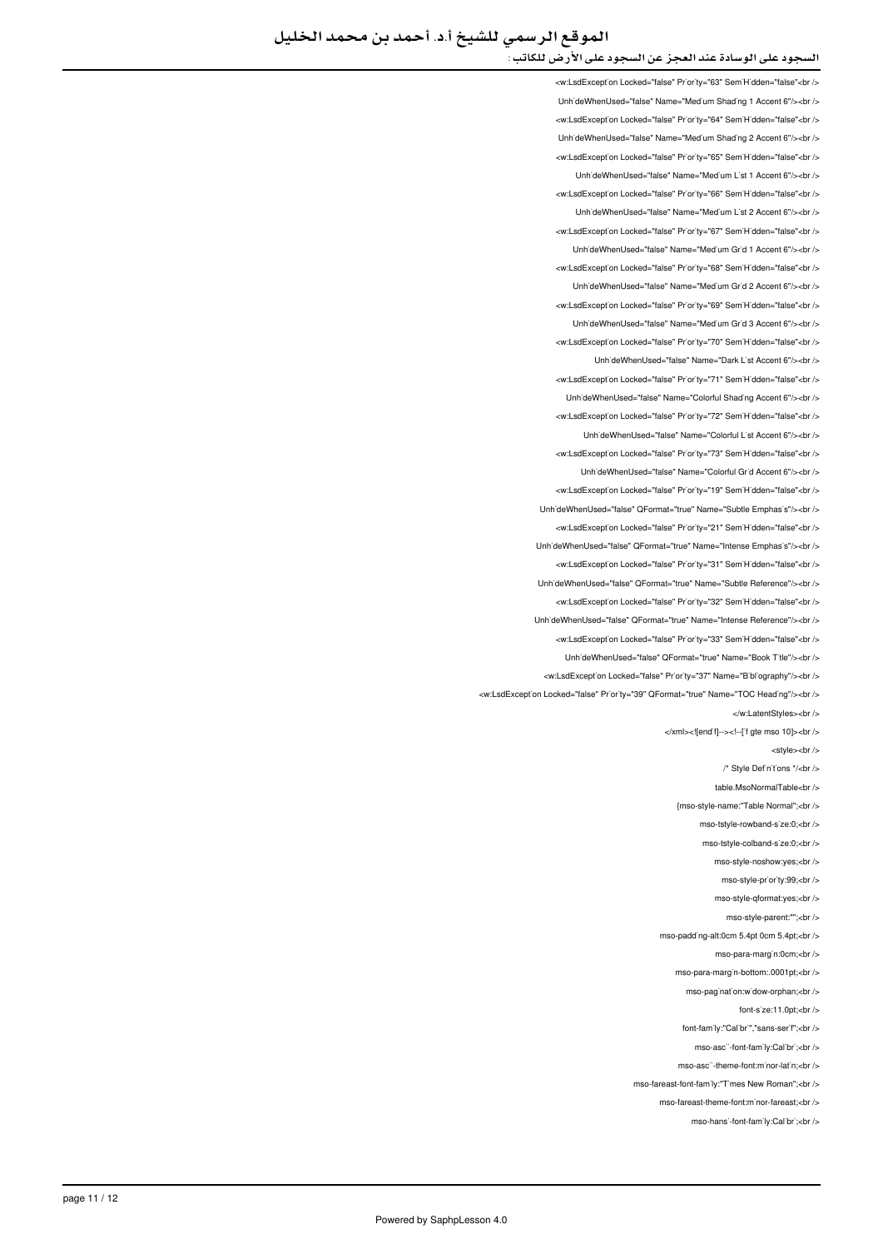<w:LsdException Locked="false" Priority="63" SemiHidden="false"<br /> UnhideWhenUsed="false" Name="Medium Shading 1 Accent 6"/><br /> <w:LsdException Locked="false" Priority="64" SemiHidden="false"<br/>>ht/> UnhideWhenUsed="false" Name="Medium Shading 2 Accent 6"/><br /> <w:LsdExcept'on Locked="false" Priority="65" Sem'H'dden="false"<br /> LinhideWhenLised="false" Name="Medium List 1 Accent 6"/><hr /> </w:LsdException Locked="false" Priority="66" SemiHidden="false"<br /> Unh'deWhenUsed="false" Name="Medium List 2 Accent 6"/><br /> <w:LsdException Locked="false" Priority="67" SemiHidden="false"<br/>>ht/> Unh'deWhenUsed="false" Name="Med'um Gr'd 1 Accent 6"/><br /> <w:LsdException Locked="false" Priority="68" SemiHidden="false"<br/>>ht /> UnhideWhenUsed="false" Name="Medium Grid 2 Accent 6"/><br /> <w:LsdException Locked="false" Priority="69" SemiHidden="false"<br /> UnhideWhenUsed="false" Name="Medium Grid 3 Accent 6"/><br /> <w:LsdException Locked="false" Priority="70" SemiHidden="false"<br /> UnhideWhenUsed="false" Name="Dark List Accent 6"/><br /> <w:LsdException Locked="false" Priority="71" SemiHidden="false"<br /> Unh'deWhenUsed="false" Name="Colorful Shading Accent 6"/><br /> <w:LsdException Locked="false" Priority="72" SemiHidden="false"<br /> LinhideWhenHeed="false" Name="Colorful List Accent 6"/schr /s <w:LsdException Locked="false" Priority="73" SemiHidden="false"<br/>kor/> UnhideWhenUsed="false" Name="Colorful Grid Accent 6"/><ht /> <w:LsdException Locked="false" Priority="19" SemiHidden="false"<br/>chi/> UnhideWhenUsed="false" QFormat="true" Name="Subtle Emphasis"/><br /> <w:LsdException Locked="false" Priority="21" SemiHidden="false"<br/>chi UnhideWhenUsed="false" QFormat="true" Name="Intense Emphasis"/><br /> <w:LsdException Locked="false" Priority="31" SemiHidden="false"<br/>>htion UnhideWhenUsed="false" QFormat="true" Name="Subtle Reference"/><br /> <w:LsdException Locked="false" Priority="32" SemiHidden="false"<hr/> Unh'deWhenUsed="false" QFormat="true" Name="Intense Reference"/><br /> <w:LsdException Locked="false" Priority="33" SemiHidden="false"<hr /> Unh'deWhenUsed="false" QFormat="true" Name="Book T'tle"/><br /> <w:LsdException Locked="false" Priority="37" Name="Bibliography"/><br /> <w:LsdException Locked="false" Priority="39" QFormat="true" Name="TOC Heading"/><br /> </w:LatentStyles><br/></w </xml><![endif]--><!--['f gte mso 10]><br/>>br <style><br/><br/>>> /\* Style Definitions \*/<br/>chr /> table.MsoNormalTable<br /> {mso-style-name:"Table Normal":<hr mso-tstyle-rowband-s'ze:0;<br /> mso-tstyle-colband-s'ze:0:<br /> mso-style-noshow:yes;<br /> mso-style-priority:99:<br/>chr mso-style-qformat:yes;<br /> mso-style-parent:"";<br /> mso-padding-alt:0cm 5.4pt 0cm 5.4pt;<br/>kor /> mso-para-margin:0cm:<br /> mso-para-margin-bottom: 0001pt:<br/>-br mso-pagination:widow-orphan;<br/>>hr>  $font-size:11.0pt:  
br/s$ font-family:"Calibri","sans-serif";<br/>-> mso-ascii-font-family:Calibrit-chr /> mso-asc"-theme-font:minor-latin;<br/>>br/> mso-fareast-font-family:"Times New Roman":<br/>-br /> mso-fareast-theme-font:minor-fareast;<br/>kor /> mso-hansi-font-family:Calibri:<br/>che